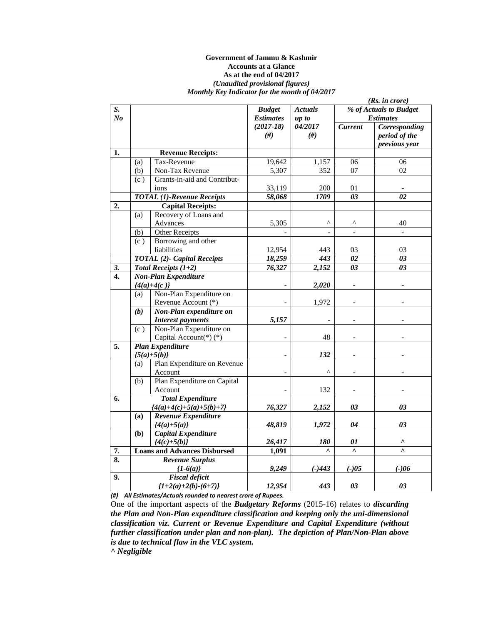#### **Government of Jammu & Kashmir Accounts at a Glance As at the end of 04/2017**  *(Unaudited provisional figures) Monthly Key Indicator for the month of 04/2017*

|                  | (Rs. in <i>core</i> ) |                                     |                  |                       |                          |                         |
|------------------|-----------------------|-------------------------------------|------------------|-----------------------|--------------------------|-------------------------|
| S.               |                       |                                     | <b>Budget</b>    | <b>Actuals</b>        | % of Actuals to Budget   |                         |
| No               |                       |                                     | <b>Estimates</b> | up to                 |                          | <b>Estimates</b>        |
|                  |                       |                                     | $(2017-18)$      | 04/2017               | <b>Current</b>           | Corresponding           |
|                  |                       |                                     | #)               | $(\#)$                |                          | period of the           |
|                  |                       |                                     |                  |                       |                          | previous year           |
| 1.               |                       | <b>Revenue Receipts:</b>            |                  |                       |                          |                         |
|                  | (a)                   | Tax-Revenue                         | 19,642           | 1,157                 | 06                       | 06                      |
|                  | (b)                   | Non-Tax Revenue                     | 5,307            | 352                   | 07                       | $\overline{02}$         |
|                  | (c)                   | Grants-in-aid and Contribut-        |                  |                       |                          |                         |
|                  |                       | ions                                | 33,119           | 200                   | 01                       |                         |
|                  |                       | <b>TOTAL (1)-Revenue Receipts</b>   | 58,068           | 1709                  | $\overline{03}$          | 02                      |
| 2.               |                       | <b>Capital Receipts:</b>            |                  |                       |                          |                         |
|                  | (a)                   | Recovery of Loans and               |                  |                       |                          |                         |
|                  |                       | Advances                            | 5,305            | $\boldsymbol{\wedge}$ | ۸                        | 40                      |
|                  | (b)                   | <b>Other Receipts</b>               | $\overline{a}$   |                       | $\overline{a}$           | $\mathbf{L}$            |
|                  | (c)                   | Borrowing and other                 |                  |                       |                          |                         |
|                  |                       | liabilities                         | 12,954           | 443                   | 03                       | 03                      |
|                  |                       | TOTAL (2)- Capital Receipts         | 18,259           | 443                   | $\overline{02}$          | $\boldsymbol{\theta}$ 3 |
| 3.               |                       | Total Receipts $(1+2)$              | 76,327           | 2,152                 | 03                       | 03                      |
| $\overline{4}$ . |                       | <b>Non-Plan Expenditure</b>         |                  |                       |                          |                         |
|                  |                       | ${4(a)+4(c)}$                       |                  | 2,020                 |                          |                         |
|                  | (a)                   | Non-Plan Expenditure on             |                  |                       |                          |                         |
|                  |                       | Revenue Account (*)                 |                  | 1,972                 |                          |                         |
|                  | (b)                   | Non-Plan expenditure on             |                  |                       |                          |                         |
|                  |                       | <b>Interest payments</b>            | 5,157            |                       |                          |                         |
|                  | (c)                   | Non-Plan Expenditure on             |                  |                       |                          |                         |
|                  |                       | Capital Account(*)(*)               |                  | 48                    | $\overline{\phantom{a}}$ |                         |
| 5.               |                       | <b>Plan Expenditure</b>             |                  |                       |                          |                         |
|                  |                       | ${5(a)+5(b)}$                       |                  | 132                   |                          |                         |
|                  | (a)                   | Plan Expenditure on Revenue         |                  |                       |                          |                         |
|                  |                       | Account                             |                  | $\wedge$              |                          |                         |
|                  | (b)                   | Plan Expenditure on Capital         |                  |                       |                          |                         |
|                  |                       | Account                             |                  | 132                   | $\overline{\phantom{a}}$ |                         |
| 6.               |                       | <b>Total Expenditure</b>            |                  |                       |                          |                         |
|                  |                       | ${4(a)+4(c)+5(a)+5(b)+7}$           | 76,327           | 2,152                 | 03                       | 03                      |
|                  | (a)                   | Revenue Expenditure                 |                  |                       |                          |                         |
|                  |                       | ${4(a)+5(a)}$                       | 48,819           | 1,972                 | 04                       | 03                      |
|                  | (b)                   | Capital Expenditure                 |                  |                       |                          |                         |
|                  |                       | ${4(c)+5(b)}$                       | 26,417           | 180                   | 01                       | ۸                       |
| 7.               |                       | <b>Loans and Advances Disbursed</b> | 1,091            | $\lambda$             | $\lambda$                | $\lambda$               |
| 8.               |                       | <b>Revenue Surplus</b>              |                  |                       |                          |                         |
|                  |                       | ${1-6(a)}$                          | 9,249            | $(-)443$              | $(-)05$                  | $(-)06$                 |
| 9.               |                       | <b>Fiscal deficit</b>               |                  |                       |                          |                         |
|                  |                       | ${1+2(a)+2(b)-(6+7)}$               | 12,954           | 443                   | 03                       | 03                      |

*(#) All Estimates/Actuals rounded to nearest crore of Rupees.*

One of the important aspects of the *Budgetary Reforms* (2015-16) relates to *discarding the Plan and Non-Plan expenditure classification and keeping only the uni-dimensional classification viz. Current or Revenue Expenditure and Capital Expenditure (without further classification under plan and non-plan). The depiction of Plan/Non-Plan above is due to technical flaw in the VLC system.* 

*^ Negligible*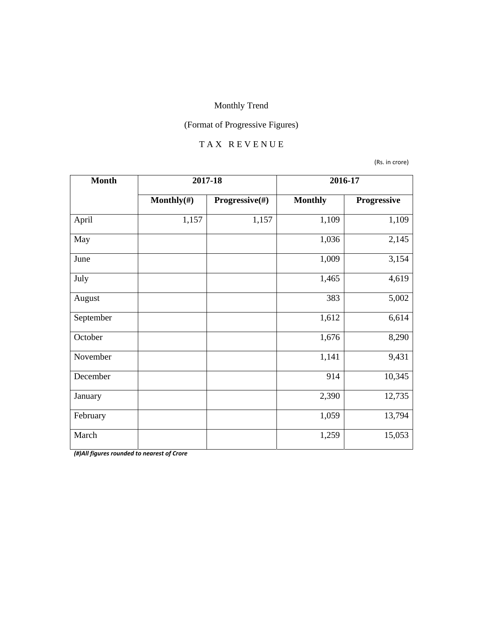# (Format of Progressive Figures)

#### T A X R E V E N U E

(Rs. in crore)

| <b>Month</b> | 2017-18        |                | 2016-17        |             |
|--------------|----------------|----------------|----------------|-------------|
|              | Monthly $(\#)$ | Progressive(#) | <b>Monthly</b> | Progressive |
| April        | 1,157          | 1,157          | 1,109          | 1,109       |
| May          |                |                | 1,036          | 2,145       |
| June         |                |                | 1,009          | 3,154       |
| July         |                |                | 1,465          | 4,619       |
| August       |                |                | 383            | 5,002       |
| September    |                |                | 1,612          | 6,614       |
| October      |                |                | 1,676          | 8,290       |
| November     |                |                | 1,141          | 9,431       |
| December     |                |                | 914            | 10,345      |
| January      |                |                | 2,390          | 12,735      |
| February     |                |                | 1,059          | 13,794      |
| March        |                |                | 1,259          | 15,053      |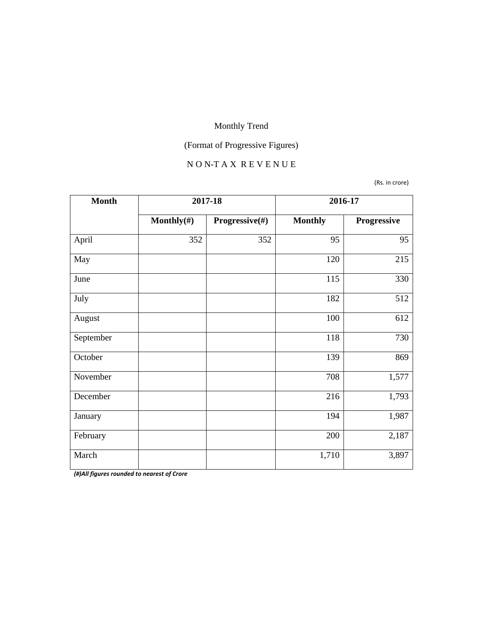# (Format of Progressive Figures)

#### N O N-T A X R E V E N U E

(Rs. in crore)

| <b>Month</b> | 2017-18        |                | 2016-17        |             |
|--------------|----------------|----------------|----------------|-------------|
|              | Monthly $(\#)$ | Progressive(#) | <b>Monthly</b> | Progressive |
| April        | 352            | 352            | 95             | 95          |
| May          |                |                | 120            | 215         |
| June         |                |                | 115            | 330         |
| July         |                |                | 182            | 512         |
| August       |                |                | 100            | 612         |
| September    |                |                | 118            | 730         |
| October      |                |                | 139            | 869         |
| November     |                |                | 708            | 1,577       |
| December     |                |                | 216            | 1,793       |
| January      |                |                | 194            | 1,987       |
| February     |                |                | 200            | 2,187       |
| March        |                |                | 1,710          | 3,897       |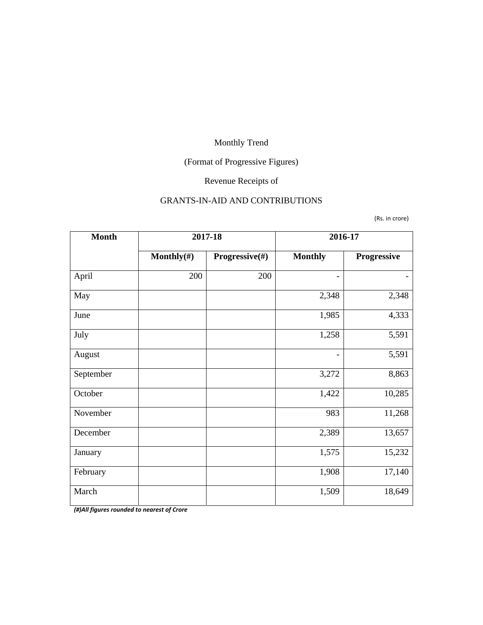# (Format of Progressive Figures)

# Revenue Receipts of

#### GRANTS-IN-AID AND CONTRIBUTIONS

(Rs. in crore)

| <b>Month</b> | 2017-18        |                | 2016-17        |             |
|--------------|----------------|----------------|----------------|-------------|
|              | Monthly $(\#)$ | Progressive(#) | <b>Monthly</b> | Progressive |
| April        | 200            | 200            | ۰              |             |
| May          |                |                | 2,348          | 2,348       |
| June         |                |                | 1,985          | 4,333       |
| July         |                |                | 1,258          | 5,591       |
| August       |                |                |                | 5,591       |
| September    |                |                | 3,272          | 8,863       |
| October      |                |                | 1,422          | 10,285      |
| November     |                |                | 983            | 11,268      |
| December     |                |                | 2,389          | 13,657      |
| January      |                |                | 1,575          | 15,232      |
| February     |                |                | 1,908          | 17,140      |
| March        |                |                | 1,509          | 18,649      |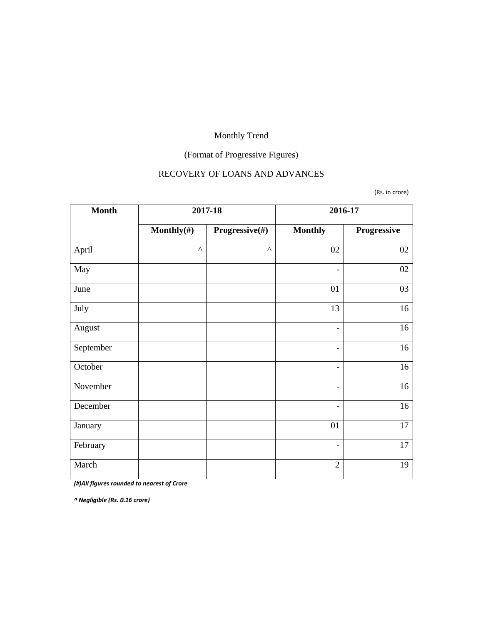# (Format of Progressive Figures)

#### RECOVERY OF LOANS AND ADVANCES

(Rs. in crore)

| <b>Month</b> | 2017-18               |                |                              | 2016-17     |
|--------------|-----------------------|----------------|------------------------------|-------------|
|              | Monthly $(\#)$        | Progressive(#) | <b>Monthly</b>               | Progressive |
| April        | $\boldsymbol{\wedge}$ | $\wedge$       | 02                           | 02          |
| May          |                       |                | $\overline{\phantom{a}}$     | 02          |
| June         |                       |                | 01                           | 03          |
| July         |                       |                | 13                           | 16          |
| August       |                       |                | $\overline{\phantom{a}}$     | 16          |
| September    |                       |                | $\overline{\phantom{a}}$     | 16          |
| October      |                       |                | $\overline{\phantom{0}}$     | 16          |
| November     |                       |                | $\overline{\phantom{a}}$     | 16          |
| December     |                       |                | $\qquad \qquad \blacksquare$ | 16          |
| January      |                       |                | 01                           | 17          |
| February     |                       |                | $\overline{\phantom{a}}$     | 17          |
| March        |                       |                | $\overline{2}$               | 19          |

*(#)All figures rounded to nearest of Crore*

*^ Negligible (Rs. 0.16 crore)*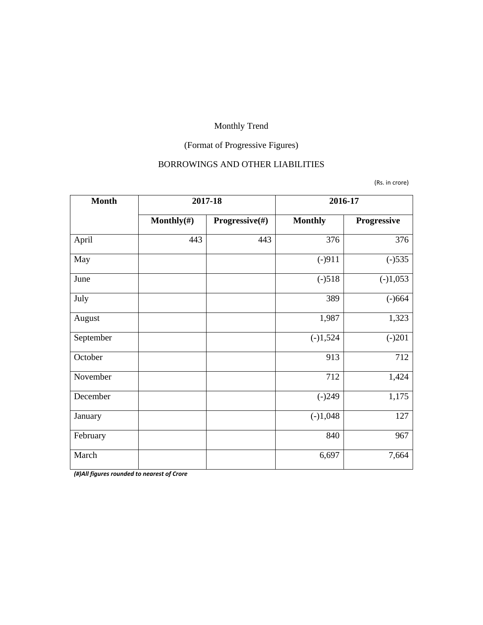# (Format of Progressive Figures)

#### BORROWINGS AND OTHER LIABILITIES

(Rs. in crore)

| <b>Month</b> | 2017-18    |                | 2016-17        |             |
|--------------|------------|----------------|----------------|-------------|
|              | Monthly(#) | Progressive(#) | <b>Monthly</b> | Progressive |
| April        | 443        | 443            | 376            | 376         |
| May          |            |                | $(-)911$       | $(-)535$    |
| June         |            |                | $(-)518$       | $(-)1,053$  |
| July         |            |                | 389            | $(-)664$    |
| August       |            |                | 1,987          | 1,323       |
| September    |            |                | $(-)1,524$     | $(-)201$    |
| October      |            |                | 913            | 712         |
| November     |            |                | 712            | 1,424       |
| December     |            |                | $(-)249$       | 1,175       |
| January      |            |                | $(-)1,048$     | 127         |
| February     |            |                | 840            | 967         |
| March        |            |                | 6,697          | 7,664       |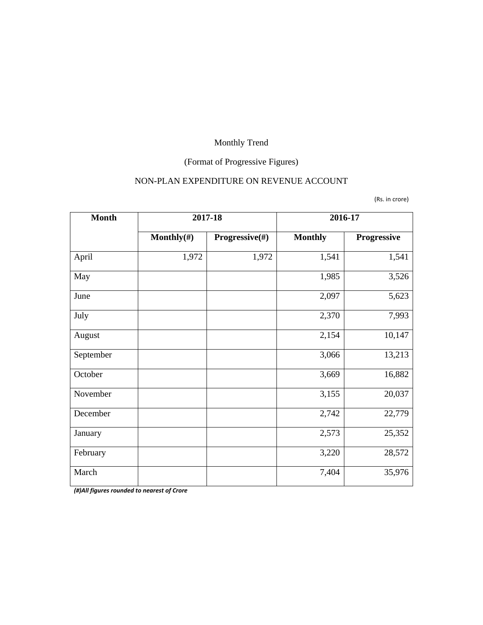# (Format of Progressive Figures)

# NON-PLAN EXPENDITURE ON REVENUE ACCOUNT

(Rs. in crore)

| <b>Month</b> | 2017-18        |                           | 2016-17        |                    |
|--------------|----------------|---------------------------|----------------|--------------------|
|              | Monthly $(\#)$ | <b>Progressive</b> $(\#)$ | <b>Monthly</b> | <b>Progressive</b> |
| April        | 1,972          | 1,972                     | 1,541          | 1,541              |
| May          |                |                           | 1,985          | 3,526              |
| June         |                |                           | 2,097          | 5,623              |
| July         |                |                           | 2,370          | 7,993              |
| August       |                |                           | 2,154          | 10,147             |
| September    |                |                           | 3,066          | 13,213             |
| October      |                |                           | 3,669          | 16,882             |
| November     |                |                           | 3,155          | 20,037             |
| December     |                |                           | 2,742          | 22,779             |
| January      |                |                           | 2,573          | 25,352             |
| February     |                |                           | 3,220          | 28,572             |
| March        |                |                           | 7,404          | 35,976             |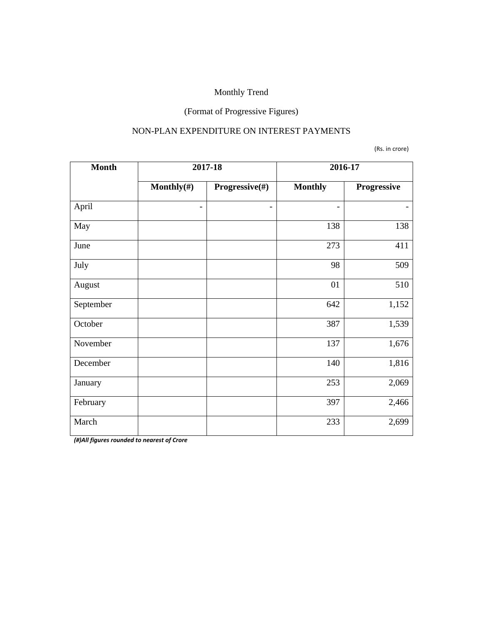# (Format of Progressive Figures)

#### NON-PLAN EXPENDITURE ON INTEREST PAYMENTS

(Rs. in crore)

| <b>Month</b> |                          | 2017-18                      | 2016-17                  |             |
|--------------|--------------------------|------------------------------|--------------------------|-------------|
|              | Monthly $(\#)$           | Progressive(#)               | <b>Monthly</b>           | Progressive |
| April        | $\overline{\phantom{a}}$ | $\qquad \qquad \blacksquare$ | $\overline{\phantom{0}}$ |             |
| May          |                          |                              | 138                      | 138         |
| June         |                          |                              | 273                      | 411         |
| July         |                          |                              | 98                       | 509         |
| August       |                          |                              | 01                       | 510         |
| September    |                          |                              | 642                      | 1,152       |
| October      |                          |                              | 387                      | 1,539       |
| November     |                          |                              | 137                      | 1,676       |
| December     |                          |                              | 140                      | 1,816       |
| January      |                          |                              | 253                      | 2,069       |
| February     |                          |                              | 397                      | 2,466       |
| March        |                          |                              | 233                      | 2,699       |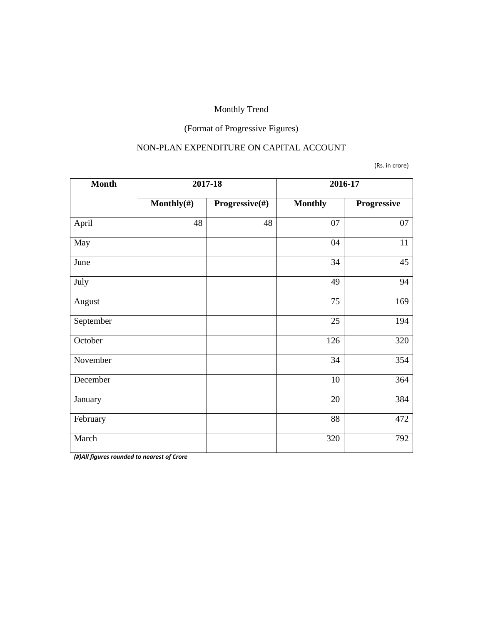# (Format of Progressive Figures)

#### NON-PLAN EXPENDITURE ON CAPITAL ACCOUNT

(Rs. in crore)

| <b>Month</b> | 2017-18        |                | 2016-17        |             |
|--------------|----------------|----------------|----------------|-------------|
|              | Monthly $(\#)$ | Progressive(#) | <b>Monthly</b> | Progressive |
| April        | 48             | 48             | 07             | 07          |
| May          |                |                | 04             | 11          |
| June         |                |                | 34             | 45          |
| July         |                |                | 49             | 94          |
| August       |                |                | 75             | 169         |
| September    |                |                | 25             | 194         |
| October      |                |                | 126            | 320         |
| November     |                |                | 34             | 354         |
| December     |                |                | 10             | 364         |
| January      |                |                | 20             | 384         |
| February     |                |                | 88             | 472         |
| March        |                |                | 320            | 792         |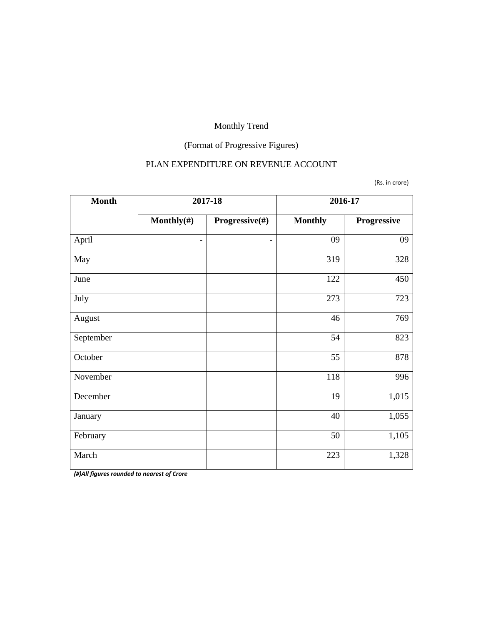# (Format of Progressive Figures)

#### PLAN EXPENDITURE ON REVENUE ACCOUNT

(Rs. in crore)

| <b>Month</b> |                          | 2017-18                      | 2016-17        |             |
|--------------|--------------------------|------------------------------|----------------|-------------|
|              | Monthly $(\#)$           | Progressive(#)               | <b>Monthly</b> | Progressive |
| April        | $\overline{\phantom{a}}$ | $\qquad \qquad \blacksquare$ | 09             | 09          |
| May          |                          |                              | 319            | 328         |
| June         |                          |                              | 122            | 450         |
| July         |                          |                              | 273            | 723         |
| August       |                          |                              | 46             | 769         |
| September    |                          |                              | 54             | 823         |
| October      |                          |                              | 55             | 878         |
| November     |                          |                              | 118            | 996         |
| December     |                          |                              | 19             | 1,015       |
| January      |                          |                              | 40             | 1,055       |
| February     |                          |                              | 50             | 1,105       |
| March        |                          |                              | 223            | 1,328       |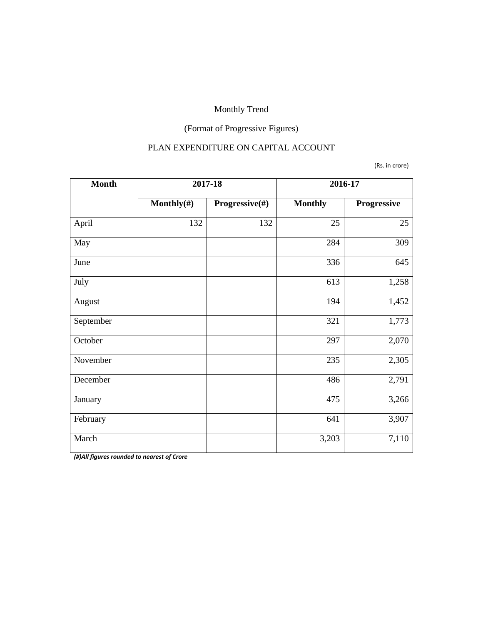# (Format of Progressive Figures)

#### PLAN EXPENDITURE ON CAPITAL ACCOUNT

#### (Rs. in crore)

| <b>Month</b> | 2017-18        |                | 2016-17        |             |
|--------------|----------------|----------------|----------------|-------------|
|              | Monthly $(\#)$ | Progressive(#) | <b>Monthly</b> | Progressive |
| April        | 132            | 132            | 25             | 25          |
| May          |                |                | 284            | 309         |
| June         |                |                | 336            | 645         |
| July         |                |                | 613            | 1,258       |
| August       |                |                | 194            | 1,452       |
| September    |                |                | 321            | 1,773       |
| October      |                |                | 297            | 2,070       |
| November     |                |                | 235            | 2,305       |
| December     |                |                | 486            | 2,791       |
| January      |                |                | 475            | 3,266       |
| February     |                |                | 641            | 3,907       |
| March        |                |                | 3,203          | 7,110       |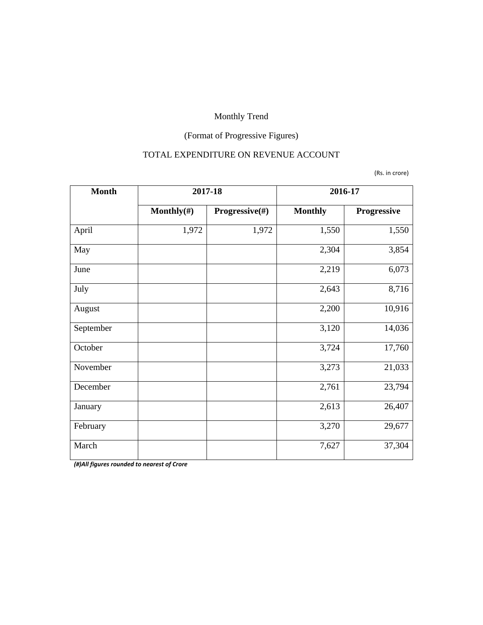# (Format of Progressive Figures)

#### TOTAL EXPENDITURE ON REVENUE ACCOUNT

(Rs. in crore)

| <b>Month</b> | 2017-18        |                           | 2016-17        |                    |
|--------------|----------------|---------------------------|----------------|--------------------|
|              | Monthly $(\#)$ | <b>Progressive</b> $(\#)$ | <b>Monthly</b> | <b>Progressive</b> |
| April        | 1,972          | 1,972                     | 1,550          | 1,550              |
| May          |                |                           | 2,304          | 3,854              |
| June         |                |                           | 2,219          | 6,073              |
| July         |                |                           | 2,643          | 8,716              |
| August       |                |                           | 2,200          | 10,916             |
| September    |                |                           | 3,120          | 14,036             |
| October      |                |                           | 3,724          | 17,760             |
| November     |                |                           | 3,273          | 21,033             |
| December     |                |                           | 2,761          | 23,794             |
| January      |                |                           | 2,613          | 26,407             |
| February     |                |                           | 3,270          | 29,677             |
| March        |                |                           | 7,627          | 37,304             |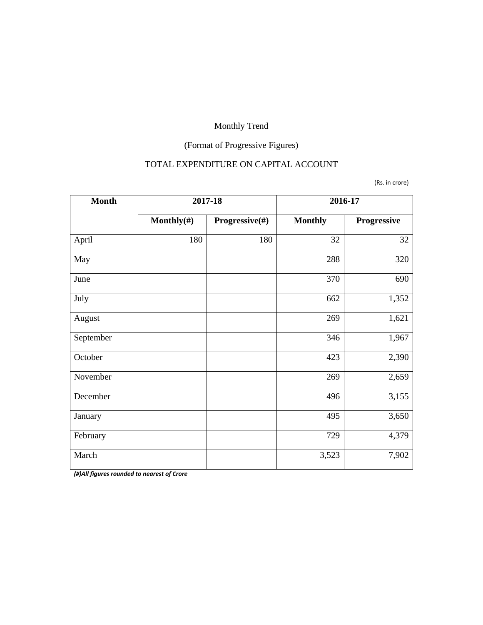# (Format of Progressive Figures)

#### TOTAL EXPENDITURE ON CAPITAL ACCOUNT

(Rs. in crore)

| <b>Month</b> | 2017-18    |                | 2016-17        |             |  |
|--------------|------------|----------------|----------------|-------------|--|
|              | Monthly(#) | Progressive(#) | <b>Monthly</b> | Progressive |  |
| April        | 180        | 180            | 32             | 32          |  |
| May          |            |                | 288            | 320         |  |
| June         |            |                | 370            | 690         |  |
| July         |            |                | 662            | 1,352       |  |
| August       |            |                | 269            | 1,621       |  |
| September    |            |                | 346            | 1,967       |  |
| October      |            |                | 423            | 2,390       |  |
| November     |            |                | 269            | 2,659       |  |
| December     |            |                | 496            | 3,155       |  |
| January      |            |                | 495            | 3,650       |  |
| February     |            |                | 729            | 4,379       |  |
| March        |            |                | 3,523          | 7,902       |  |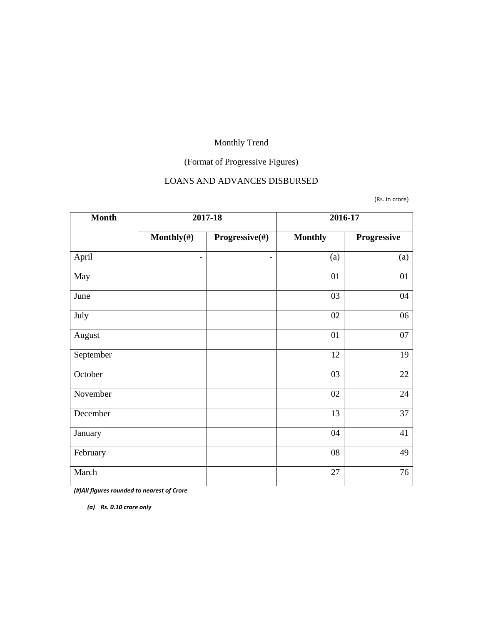# (Format of Progressive Figures)

# LOANS AND ADVANCES DISBURSED

(Rs. in crore)

| <b>Month</b> |                          | 2017-18                  | 2016-17        |             |  |
|--------------|--------------------------|--------------------------|----------------|-------------|--|
|              | Monthly $(\#)$           | Progressive(#)           | <b>Monthly</b> | Progressive |  |
| April        | $\overline{\phantom{a}}$ | $\overline{\phantom{a}}$ | (a)            | (a)         |  |
| May          |                          |                          | 01             | 01          |  |
| June         |                          |                          | 03             | 04          |  |
| July         |                          |                          | 02             | 06          |  |
| August       |                          |                          | 01             | 07          |  |
| September    |                          |                          | 12             | 19          |  |
| October      |                          |                          | 03             | 22          |  |
| November     |                          |                          | 02             | 24          |  |
| December     |                          |                          | 13             | 37          |  |
| January      |                          |                          | 04             | 41          |  |
| February     |                          |                          | 08             | 49          |  |
| March        |                          |                          | 27             | 76          |  |

*(#)All figures rounded to nearest of Crore*

*(a) Rs. 0.10 crore only*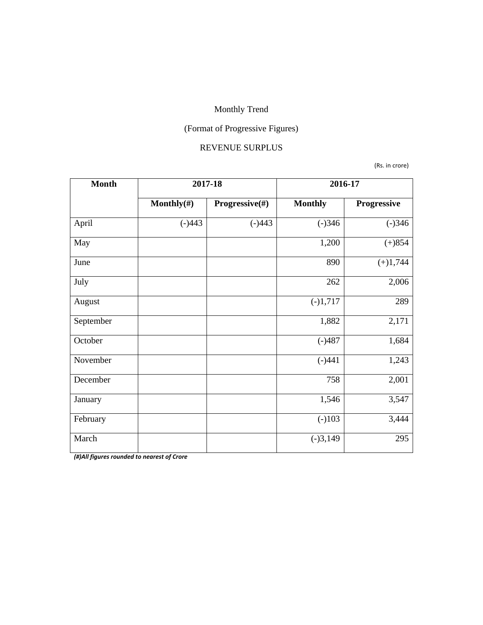# (Format of Progressive Figures)

#### REVENUE SURPLUS

(Rs. in crore)

| <b>Month</b> | 2017-18        |                | 2016-17        |             |  |
|--------------|----------------|----------------|----------------|-------------|--|
|              | Monthly $(\#)$ | Progressive(#) | <b>Monthly</b> | Progressive |  |
| April        | $(-)443$       | $(-)443$       | $(-)346$       | $(-)346$    |  |
| May          |                |                | 1,200          | $(+)854$    |  |
| June         |                |                | 890            | $(+)1,744$  |  |
| July         |                |                | 262            | 2,006       |  |
| August       |                |                | $(-)1,717$     | 289         |  |
| September    |                |                | 1,882          | 2,171       |  |
| October      |                |                | $(-)487$       | 1,684       |  |
| November     |                |                | $(-)441$       | 1,243       |  |
| December     |                |                | 758            | 2,001       |  |
| January      |                |                | 1,546          | 3,547       |  |
| February     |                |                | $(-)103$       | 3,444       |  |
| March        |                |                | $(-)3,149$     | 295         |  |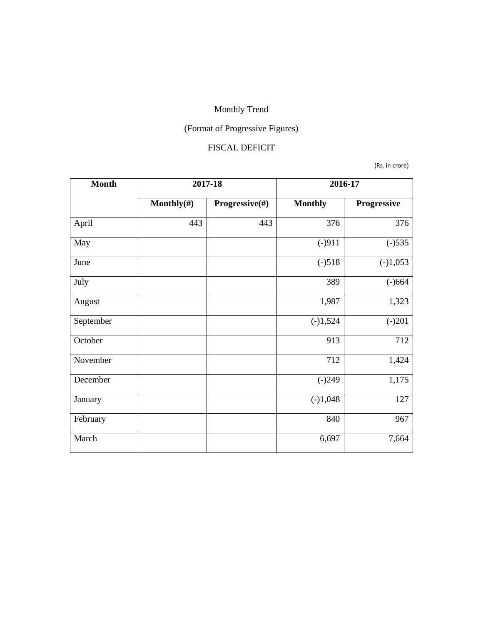# (Format of Progressive Figures)

#### FISCAL DEFICIT

(Rs. in crore)

| <b>Month</b> | 2017-18        |                | 2016-17        |             |  |
|--------------|----------------|----------------|----------------|-------------|--|
|              | Monthly $(\#)$ | Progressive(#) | <b>Monthly</b> | Progressive |  |
| April        | 443            | 443            | 376            | 376         |  |
| May          |                |                | $(-)911$       | $(-)535$    |  |
| June         |                |                | $(-)518$       | $(-)1,053$  |  |
| July         |                |                | 389            | $(-)664$    |  |
| August       |                |                | 1,987          | 1,323       |  |
| September    |                |                | $(-)1,524$     | $(-)201$    |  |
| October      |                |                | 913            | 712         |  |
| November     |                |                | 712            | 1,424       |  |
| December     |                |                | $(-)249$       | 1,175       |  |
| January      |                |                | $(-)1,048$     | 127         |  |
| February     |                |                | 840            | 967         |  |
| March        |                |                | 6,697          | 7,664       |  |